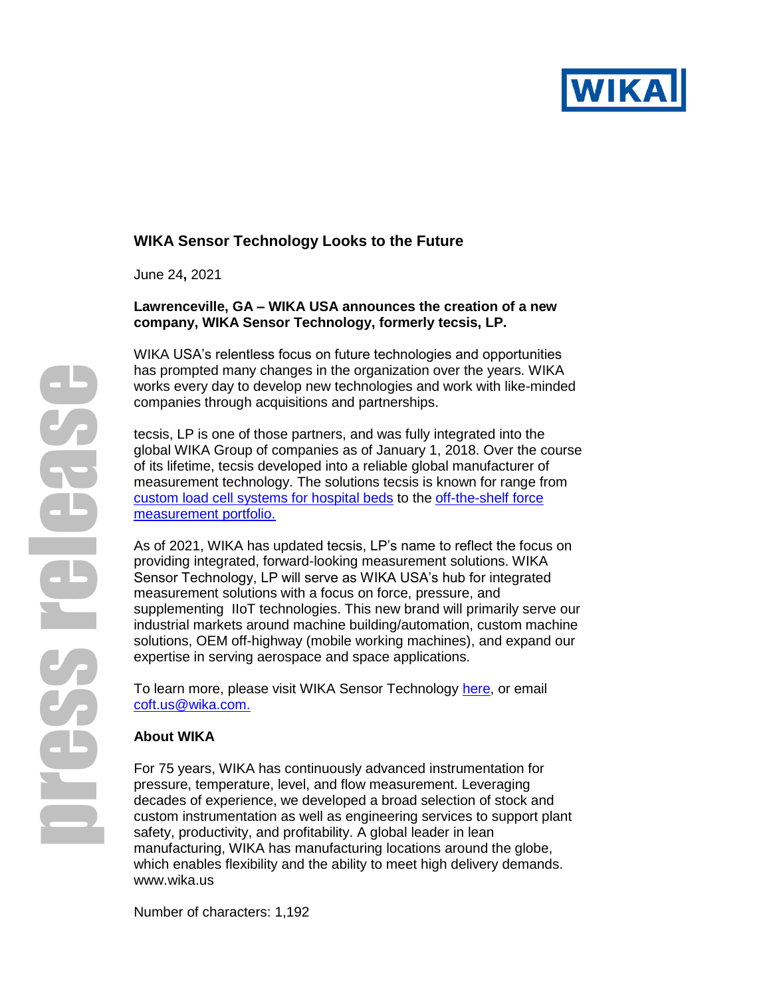

# **WIKA Sensor Technology Looks to the Future**

June 24**,** 2021

#### **Lawrenceville, GA – WIKA USA announces the creation of a new company, WIKA Sensor Technology, formerly tecsis, LP.**

WIKA USA's relentless focus on future technologies and opportunities has prompted many changes in the organization over the years. WIKA works every day to develop new technologies and work with like-minded companies through acquisitions and partnerships.

tecsis, LP is one of those partners, and was fully integrated into the global WIKA Group of companies as of January 1, 2018. Over the course of its lifetime, tecsis developed into a reliable global manufacturer of measurement technology. The solutions tecsis is known for range from [custom load cell systems for hospital beds](https://blog.wika.us/applications/weighing-the-difference-wika-offers-customizable-load-cell-systems-for-hospital-beds/) to the [off-the-shelf force](https://www.wika.us/products_en_us.WIKA?subnav=4)  [measurement portfolio.](https://www.wika.us/products_en_us.WIKA?subnav=4)

As of 2021, WIKA has updated tecsis, LP's name to reflect the focus on providing integrated, forward-looking measurement solutions. WIKA Sensor Technology, LP will serve as WIKA USA's hub for integrated measurement solutions with a focus on force, pressure, and supplementing IIoT technologies. This new brand will primarily serve our industrial markets around machine building/automation, custom machine solutions, OEM off-highway (mobile working machines), and expand our expertise in serving aerospace and space applications.

To learn more, please visit WIKA Sensor Technology [here,](https://www.wika.us/landingpage_tecsis_en_us.WIKA) or email [coft.us@wika.com.](mailto:coft.us@wika.com.)

#### **About WIKA**

For 75 years, WIKA has continuously advanced instrumentation for pressure, temperature, level, and flow measurement. Leveraging decades of experience, we developed a broad selection of stock and custom instrumentation as well as engineering services to support plant safety, productivity, and profitability. A global leader in lean manufacturing, WIKA has manufacturing locations around the globe, which enables flexibility and the ability to meet high delivery demands. [www.wika.us](http://www.wika.us/)

Number of characters: 1,192